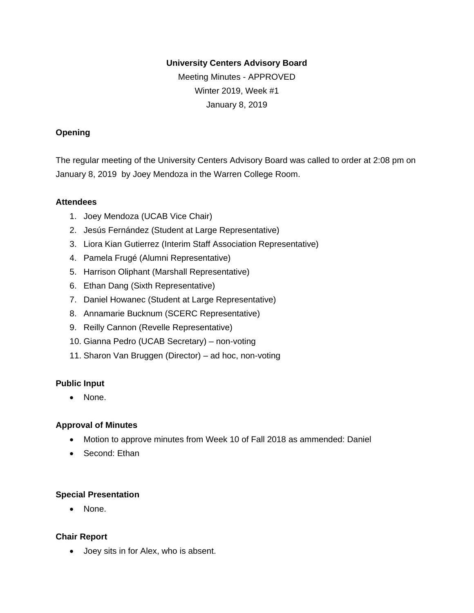#### **University Centers Advisory Board**

Meeting Minutes - APPROVED Winter 2019, Week #1 January 8, 2019

## **Opening**

The regular meeting of the University Centers Advisory Board was called to order at 2:08 pm on January 8, 2019 by Joey Mendoza in the Warren College Room.

#### **Attendees**

- 1. Joey Mendoza (UCAB Vice Chair)
- 2. Jesús Fernández (Student at Large Representative)
- 3. Liora Kian Gutierrez (Interim Staff Association Representative)
- 4. Pamela Frugé (Alumni Representative)
- 5. Harrison Oliphant (Marshall Representative)
- 6. Ethan Dang (Sixth Representative)
- 7. Daniel Howanec (Student at Large Representative)
- 8. Annamarie Bucknum (SCERC Representative)
- 9. Reilly Cannon (Revelle Representative)
- 10. Gianna Pedro (UCAB Secretary) non-voting
- 11. Sharon Van Bruggen (Director) ad hoc, non-voting

#### **Public Input**

• None.

#### **Approval of Minutes**

- Motion to approve minutes from Week 10 of Fall 2018 as ammended: Daniel
- Second: Ethan

#### **Special Presentation**

• None.

#### **Chair Report**

• Joey sits in for Alex, who is absent.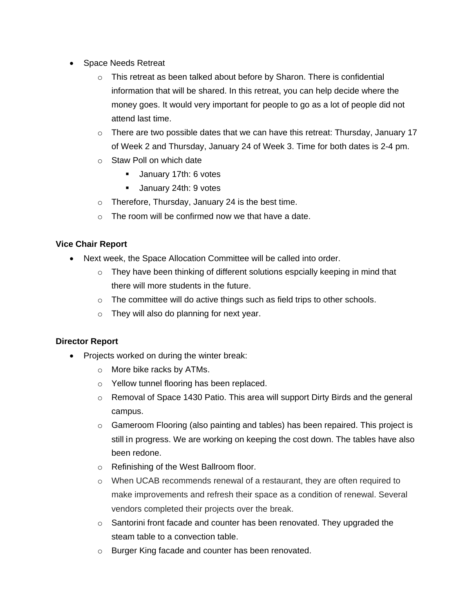- Space Needs Retreat
	- o This retreat as been talked about before by Sharon. There is confidential information that will be shared. In this retreat, you can help decide where the money goes. It would very important for people to go as a lot of people did not attend last time.
	- $\circ$  There are two possible dates that we can have this retreat: Thursday, January 17 of Week 2 and Thursday, January 24 of Week 3. Time for both dates is 2-4 pm.
	- o Staw Poll on which date
		- **■** January 17th: 6 votes
		- **U** January 24th: 9 votes
	- o Therefore, Thursday, January 24 is the best time.
	- $\circ$  The room will be confirmed now we that have a date.

#### **Vice Chair Report**

- Next week, the Space Allocation Committee will be called into order.
	- $\circ$  They have been thinking of different solutions espcially keeping in mind that there will more students in the future.
	- o The committee will do active things such as field trips to other schools.
	- o They will also do planning for next year.

#### **Director Report**

- Projects worked on during the winter break:
	- o More bike racks by ATMs.
	- o Yellow tunnel flooring has been replaced.
	- $\circ$  Removal of Space 1430 Patio. This area will support Dirty Birds and the general campus.
	- $\circ$  Gameroom Flooring (also painting and tables) has been repaired. This project is still in progress. We are working on keeping the cost down. The tables have also been redone.
	- o Refinishing of the West Ballroom floor.
	- o When UCAB recommends renewal of a restaurant, they are often required to make improvements and refresh their space as a condition of renewal. Several vendors completed their projects over the break.
	- $\circ$  Santorini front facade and counter has been renovated. They upgraded the steam table to a convection table.
	- o Burger King facade and counter has been renovated.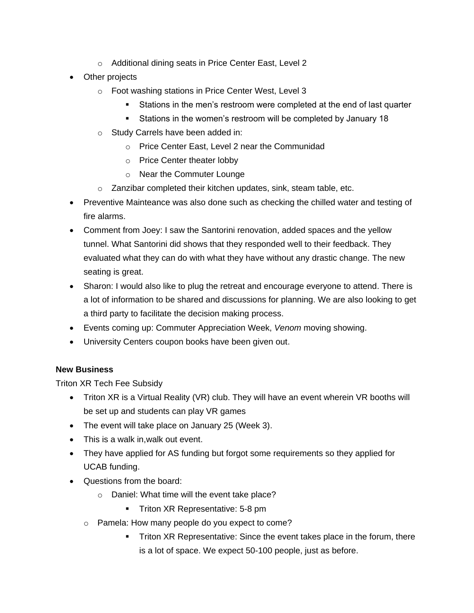- o Additional dining seats in Price Center East, Level 2
- Other projects
	- o Foot washing stations in Price Center West, Level 3
		- Stations in the men's restroom were completed at the end of last quarter
		- Stations in the women's restroom will be completed by January 18
	- o Study Carrels have been added in:
		- o Price Center East, Level 2 near the Communidad
		- o Price Center theater lobby
		- o Near the Commuter Lounge
	- o Zanzibar completed their kitchen updates, sink, steam table, etc.
- Preventive Mainteance was also done such as checking the chilled water and testing of fire alarms.
- Comment from Joey: I saw the Santorini renovation, added spaces and the yellow tunnel. What Santorini did shows that they responded well to their feedback. They evaluated what they can do with what they have without any drastic change. The new seating is great.
- Sharon: I would also like to plug the retreat and encourage everyone to attend. There is a lot of information to be shared and discussions for planning. We are also looking to get a third party to facilitate the decision making process.
- Events coming up: Commuter Appreciation Week, *Venom* moving showing.
- University Centers coupon books have been given out.

#### **New Business**

Triton XR Tech Fee Subsidy

- Triton XR is a Virtual Reality (VR) club. They will have an event wherein VR booths will be set up and students can play VR games
- The event will take place on January 25 (Week 3).
- This is a walk in,walk out event.
- They have applied for AS funding but forgot some requirements so they applied for UCAB funding.
- Questions from the board:
	- o Daniel: What time will the event take place?
		- **Triton XR Representative: 5-8 pm**
	- o Pamela: How many people do you expect to come?
		- **•** Triton XR Representative: Since the event takes place in the forum, there is a lot of space. We expect 50-100 people, just as before.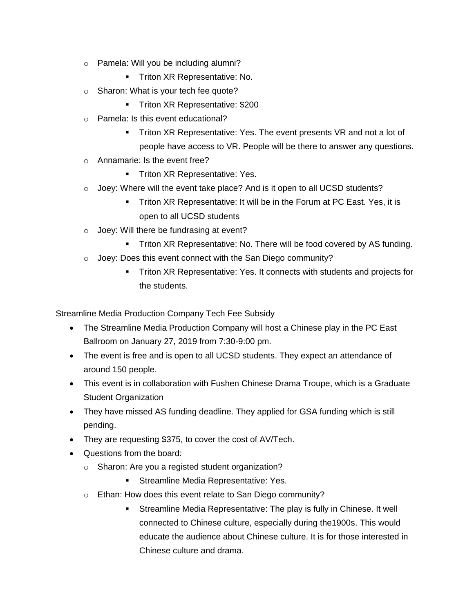- o Pamela: Will you be including alumni?
	- **Triton XR Representative: No.**
- o Sharon: What is your tech fee quote?
	- **Triton XR Representative: \$200**
- o Pamela: Is this event educational?
	- **Triton XR Representative: Yes. The event presents VR and not a lot of** people have access to VR. People will be there to answer any questions.
- o Annamarie: Is the event free?
	- **Triton XR Representative: Yes.**
- $\circ$  Joey: Where will the event take place? And is it open to all UCSD students?
	- **Triton XR Representative: It will be in the Forum at PC East. Yes, it is** open to all UCSD students
- o Joey: Will there be fundrasing at event?
	- **Triton XR Representative: No. There will be food covered by AS funding.**
- o Joey: Does this event connect with the San Diego community?
	- Triton XR Representative: Yes. It connects with students and projects for the students.

Streamline Media Production Company Tech Fee Subsidy

- The Streamline Media Production Company will host a Chinese play in the PC East Ballroom on January 27, 2019 from 7:30-9:00 pm.
- The event is free and is open to all UCSD students. They expect an attendance of around 150 people.
- This event is in collaboration with Fushen Chinese Drama Troupe, which is a Graduate Student Organization
- They have missed AS funding deadline. They applied for GSA funding which is still pending.
- They are requesting \$375, to cover the cost of AV/Tech.
- Questions from the board:
	- o Sharon: Are you a registed student organization?
		- **EXEC** Streamline Media Representative: Yes.
	- o Ethan: How does this event relate to San Diego community?
		- Streamline Media Representative: The play is fully in Chinese. It well connected to Chinese culture, especially during the1900s. This would educate the audience about Chinese culture. It is for those interested in Chinese culture and drama.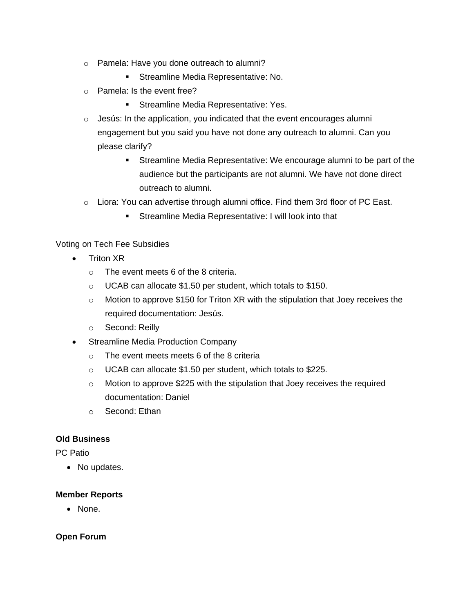- o Pamela: Have you done outreach to alumni?
	- **EXEC** Streamline Media Representative: No.
- o Pamela: Is the event free?
	- **EXEC** Streamline Media Representative: Yes.
- $\circ$  Jesús: In the application, you indicated that the event encourages alumni engagement but you said you have not done any outreach to alumni. Can you please clarify?
	- **EXECTE AT Streamline Media Representative: We encourage alumni to be part of the** audience but the participants are not alumni. We have not done direct outreach to alumni.
- $\circ$  Liora: You can advertise through alumni office. Find them 3rd floor of PC East.
	- **EXTERMING Media Representative: I will look into that**

#### Voting on Tech Fee Subsidies

- Triton XR
	- o The event meets 6 of the 8 criteria.
	- o UCAB can allocate \$1.50 per student, which totals to \$150.
	- o Motion to approve \$150 for Triton XR with the stipulation that Joey receives the required documentation: Jesús.
	- o Second: Reilly
- Streamline Media Production Company
	- o The event meets meets 6 of the 8 criteria
	- o UCAB can allocate \$1.50 per student, which totals to \$225.
	- o Motion to approve \$225 with the stipulation that Joey receives the required documentation: Daniel
	- o Second: Ethan

## **Old Business**

PC Patio

• No updates.

#### **Member Reports**

• None.

#### **Open Forum**